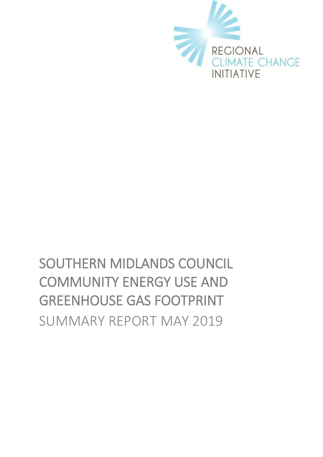

# SOUTHERN MIDLANDS COUNCIL COMMUNITY ENERGY USE AND GREENHOUSE GAS FOOTPRINT SUMMARY REPORT MAY 2019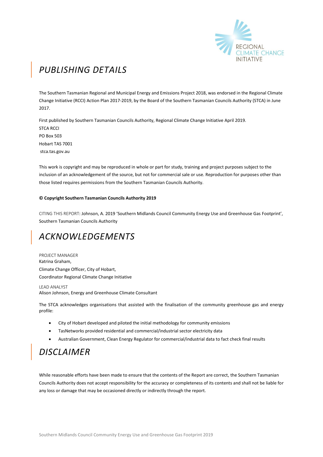

# *PUBLISHING DETAILS*

The Southern Tasmanian Regional and Municipal Energy and Emissions Project 2018, was endorsed in the Regional Climate Change Initiative (RCCI) Action Plan 2017-2019, by the Board of the Southern Tasmanian Councils Authority (STCA) in June 2017.

First published by Southern Tasmanian Councils Authority, Regional Climate Change Initiative April 2019. STCA RCCI PO Box 503 Hobart TAS 7001 stca.tas.gov.au

This work is copyright and may be reproduced in whole or part for study, training and project purposes subject to the inclusion of an acknowledgement of the source, but not for commercial sale or use. Reproduction for purposes other than those listed requires permissions from the Southern Tasmanian Councils Authority.

#### **© Copyright Southern Tasmanian Councils Authority 2019**

CITING THIS REPORT: Johnson, A. 2019 'Southern Midlands Council Community Energy Use and Greenhouse Gas Footprint', Southern Tasmanian Councils Authority

# *ACKNOWLEDGEMENTS*

PROJECT MANAGER Katrina Graham, Climate Change Officer, City of Hobart, Coordinator Regional Climate Change Initiative

LEAD ANALYST Alison Johnson, Energy and Greenhouse Climate Consultant

The STCA acknowledges organisations that assisted with the finalisation of the community greenhouse gas and energy profile:

- City of Hobart developed and piloted the initial methodology for community emissions
- TasNetworks provided residential and commercial/industrial sector electricity data
- Australian Government, Clean Energy Regulator for commercial/industrial data to fact check final results

# *DISCLAIMER*

While reasonable efforts have been made to ensure that the contents of the Report are correct, the Southern Tasmanian Councils Authority does not accept responsibility for the accuracy or completeness of its contents and shall not be liable for any loss or damage that may be occasioned directly or indirectly through the report.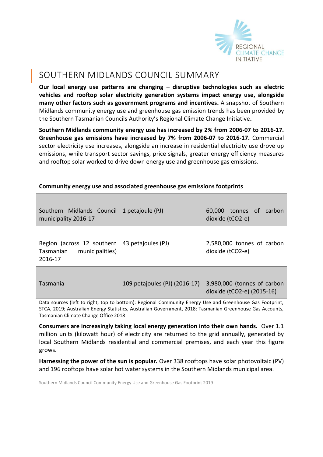

## SOUTHERN MIDLANDS COUNCIL SUMMARY

**Our local energy use patterns are changing – disruptive technologies such as electric vehicles and rooftop solar electricity generation systems impact energy use, alongside many other factors such as government programs and incentives.** A snapshot of Southern Midlands community energy use and greenhouse gas emission trends has been provided by the Southern Tasmanian Councils Authority's Regional Climate Change Initiative**.** 

**Southern Midlands community energy use has increased by 2% from 2006-07 to 2016-17. Greenhouse gas emissions have increased by 7% from 2006-07 to 2016-17.** Commercial sector electricity use increases, alongside an increase in residential electricity use drove up emissions, while transport sector savings, price signals, greater energy efficiency measures and rooftop solar worked to drive down energy use and greenhouse gas emissions.

| Southern Midlands Council<br>municipality 2016-17                                                                                                                                                                                             | 1 petajoule (PJ)              | 60,000 tonnes of<br>carbon<br>dioxide (tCO2-e)            |
|-----------------------------------------------------------------------------------------------------------------------------------------------------------------------------------------------------------------------------------------------|-------------------------------|-----------------------------------------------------------|
| Region (across 12 southern 43 petajoules (PJ)<br>municipalities)<br>Tasmanian<br>2016-17                                                                                                                                                      |                               | 2,580,000 tonnes of carbon<br>dioxide (tCO2-e)            |
| Tasmania<br>$\alpha$ , and a set of the set of the set of the set of the set of the set of the set of the set of the set of the set of the set of the set of the set of the set of the set of the set of the set of the set of the set of the | 109 petajoules (PJ) (2016-17) | 3,980,000 (tonnes of carbon<br>dioxide (tCO2-e) (2015-16) |

#### **Community energy use and associated greenhouse gas emissions footprints**

Data sources (left to right, top to bottom): Regional Community Energy Use and Greenhouse Gas Footprint, STCA, 2019; Australian Energy Statistics, Australian Government, 2018; Tasmanian Greenhouse Gas Accounts, Tasmanian Climate Change Office 2018

**Consumers are increasingly taking local energy generation into their own hands.** Over 1.1 million units (kilowatt hour) of electricity are returned to the grid annually, generated by local Southern Midlands residential and commercial premises, and each year this figure grows.

**Harnessing the power of the sun is popular.** Over 338 rooftops have solar photovoltaic (PV) and 196 rooftops have solar hot water systems in the Southern Midlands municipal area.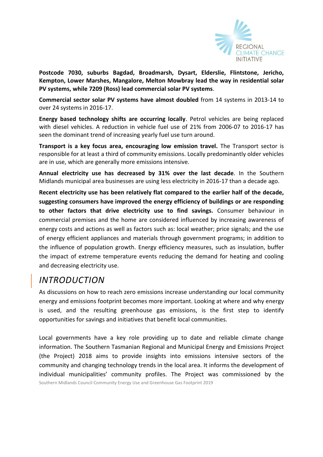

**Postcode 7030, suburbs Bagdad, Broadmarsh, Dysart, Elderslie, Flintstone, Jericho, Kempton, Lower Marshes, Mangalore, Melton Mowbray lead the way in residential solar PV systems, while 7209 (Ross) lead commercial solar PV systems**.

**Commercial sector solar PV systems have almost doubled** from 14 systems in 2013-14 to over 24 systems in 2016-17.

**Energy based technology shifts are occurring locally**. Petrol vehicles are being replaced with diesel vehicles. A reduction in vehicle fuel use of 21% from 2006-07 to 2016-17 has seen the dominant trend of increasing yearly fuel use turn around.

**Transport is a key focus area, encouraging low emission travel.** The Transport sector is responsible for at least a third of community emissions. Locally predominantly older vehicles are in use, which are generally more emissions intensive.

**Annual electricity use has decreased by 31% over the last decade**. In the Southern Midlands municipal area businesses are using less electricity in 2016-17 than a decade ago.

**Recent electricity use has been relatively flat compared to the earlier half of the decade, suggesting consumers have improved the energy efficiency of buildings or are responding to other factors that drive electricity use to find savings.** Consumer behaviour in commercial premises and the home are considered influenced by increasing awareness of energy costs and actions as well as factors such as: local weather; price signals; and the use of energy efficient appliances and materials through government programs; in addition to the influence of population growth. Energy efficiency measures, such as insulation, buffer the impact of extreme temperature events reducing the demand for heating and cooling and decreasing electricity use.

# *INTRODUCTION*

As discussions on how to reach zero emissions increase understanding our local community energy and emissions footprint becomes more important. Looking at where and why energy is used, and the resulting greenhouse gas emissions, is the first step to identify opportunities for savings and initiatives that benefit local communities.

Southern Midlands Council Community Energy Use and Greenhouse Gas Footprint 2019 Local governments have a key role providing up to date and reliable climate change information. The Southern Tasmanian Regional and Municipal Energy and Emissions Project (the Project) 2018 aims to provide insights into emissions intensive sectors of the community and changing technology trends in the local area. It informs the development of individual municipalities' community profiles. The Project was commissioned by the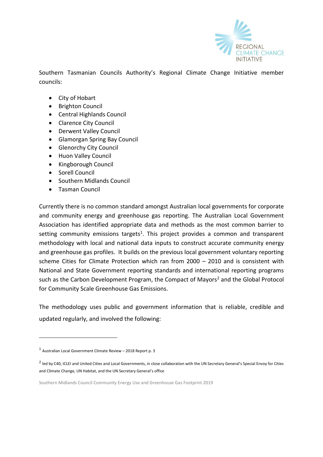

Southern Tasmanian Councils Authority's Regional Climate Change Initiative member councils:

- City of [Hobart](http://www.hobartcity.com.au/)
- [Brighton Council](http://www.brighton.tas.gov.au/)
- [Central Highlands Council](http://www.centralhighlands.tas.gov.au/site/page.cfm)
- [Clarence City Council](http://www.ccc.tas.gov.au/)
- [Derwent Valley Council](http://www.derwentvalley.tas.gov.au/)
- [Glamorgan Spring Bay Council](http://www.gsbc.tas.gov.au/site/page.cfm)
- **•** [Glenorchy City Council](http://www.gcc.tas.gov.au/)
- [Huon Valley Council](http://www.huonvalley.tas.gov.au/)
- [Kingborough Council](http://www.kingborough.tas.gov.au/)
- [Sorell Council](http://www.sorell.tas.gov.au/)
- [Southern Midlands Council](http://www.southernmidlands.tas.gov.au/site/page.cfm)
- [Tasman Council](http://www.tasman.tas.gov.au/site/page.cfm)

Currently there is no common standard amongst Australian local governments for corporate and community energy and greenhouse gas reporting. The Australian Local Government Association has identified appropriate data and methods as the most common barrier to setting community emissions targets<sup>1</sup>. This project provides a common and transparent methodology with local and national data inputs to construct accurate community energy and greenhouse gas profiles. It builds on the previous local government voluntary reporting scheme Cities for Climate Protection which ran from 2000 – 2010 and is consistent with National and State Government reporting standards and international reporting programs such as the Carbon Development Program, the Compact of Mayors<sup>2</sup> and the Global Protocol for Community Scale Greenhouse Gas Emissions.

The methodology uses public and government information that is reliable, credible and updated regularly, and involved the following:

<sup>1</sup> Australian Local Government Climate Review – 2018 Report p. 3

<sup>&</sup>lt;sup>2</sup> led by C40, ICLEI and United Cities and Local Governments, in close collaboration with the UN Secretary General's Special Envoy for Cities and Climate Change, UN Habitat, and the UN Secretary General's office

Southern Midlands Council Community Energy Use and Greenhouse Gas Footprint 2019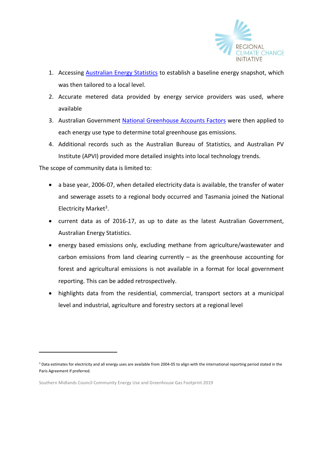

- 1. Accessing [Australian Energy Statistics](https://industry.gov.au/Office-of-the-Chief-Economist/Publications/Pages/Australian-energy-statistics.aspx) to establish a baseline energy snapshot, which was then tailored to a local level.
- 2. Accurate metered data provided by energy service providers was used, where available
- 3. Australian Government [National Greenhouse Accounts Factors](http://www.environment.gov.au/climate-change/climate-science-data/greenhouse-gas-measurement/publications/national-greenhouse-accounts-factors-july-2017) were then applied to each energy use type to determine total greenhouse gas emissions.
- 4. Additional records such as the Australian Bureau of Statistics, and Australian PV Institute (APVI) provided more detailed insights into local technology trends.

The scope of community data is limited to:

- a base year, 2006-07, when detailed electricity data is available, the transfer of water and sewerage assets to a regional body occurred and Tasmania joined the National Electricity Market<sup>3</sup>.
- current data as of 2016-17, as up to date as the latest Australian Government, Australian Energy Statistics.
- energy based emissions only, excluding methane from agriculture/wastewater and carbon emissions from land clearing currently  $-$  as the greenhouse accounting for forest and agricultural emissions is not available in a format for local government reporting. This can be added retrospectively.
- highlights data from the residential, commercial, transport sectors at a municipal level and industrial, agriculture and forestry sectors at a regional level

<sup>&</sup>lt;sup>3</sup> Data estimates for electricity and all energy uses are available from 2004-05 to align with the international reporting period stated in the Paris Agreement if preferred.

Southern Midlands Council Community Energy Use and Greenhouse Gas Footprint 2019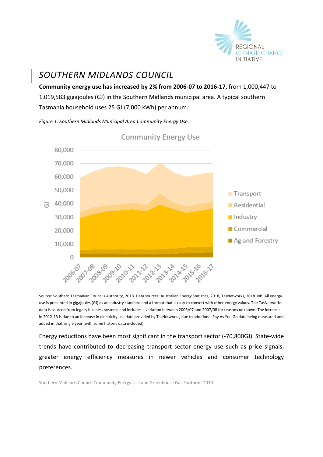

# *SOUTHERN MIDLANDS COUNCIL*

**Community energy use has increased by 2% from 2006-07 to 2016-17,** from 1,000,447 to 1,019,583 gigajoules (GJ) in the Southern Midlands municipal area. A typical southern Tasmania household uses 25 GJ (7,000 kWh) per annum.

*Figure 1: Southern Midlands Municipal Area Community Energy Use.* 



Source: Southern Tasmanian Councils Authority, 2018. Data sources: Australian Energy Statistics, 2018, TasNetworks, 2018. NB: All energy use is presented in gigajoules (GJ) as an industry standard and a format that is easy to convert with other energy values. The TasNetworks data is sourced from legacy business systems and includes a variation between 2006/07 and 2007/08 for reasons unknown. The increase in 2012-13 is due to an increase in electricity use data provided by TasNetworks, due to additional Pay As You Go data being measured and added in that single year (with some historic data included).

Energy reductions have been most significant in the transport sector (-70,800GJ). State-wide trends have contributed to decreasing transport sector energy use such as price signals, greater energy efficiency measures in newer vehicles and consumer technology preferences.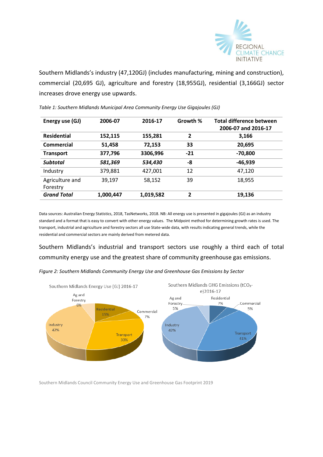

Southern Midlands's industry (47,120GJ) (includes manufacturing, mining and construction), commercial (20,695 GJ), agriculture and forestry (18,955GJ), residential (3,166GJ) sector increases drove energy use upwards.

| Energy use (GJ)             | 2006-07   | 2016-17   | Growth %     | <b>Total difference between</b><br>2006-07 and 2016-17 |
|-----------------------------|-----------|-----------|--------------|--------------------------------------------------------|
| <b>Residential</b>          | 152,115   | 155,281   | $\mathbf{2}$ | 3,166                                                  |
| Commercial                  | 51,458    | 72,153    | 33           | 20,695                                                 |
| <b>Transport</b>            | 377,796   | 3306,996  | $-21$        | $-70,800$                                              |
| <b>Subtotal</b>             | 581,369   | 534,430   | -8           | -46,939                                                |
| Industry                    | 379,881   | 427,001   | 12           | 47,120                                                 |
| Agriculture and<br>Forestry | 39.197    | 58,152    | 39           | 18,955                                                 |
| <b>Grand Total</b>          | 1,000,447 | 1,019,582 | 2            | 19,136                                                 |

*Table 1: Southern Midlands Municipal Area Community Energy Use Gigajoules (GJ)*

Data sources: Australian Energy Statistics, 2018, TasNetworks, 2018. NB: All energy use is presented in gigajoules (GJ) as an industry standard and a format that is easy to convert with other energy values. The Midpoint method for determining growth rates is used. The transport, industrial and agriculture and forestry sectors all use State-wide data, with results indicating general trends, while the residential and commercial sectors are mainly derived from metered data.

Southern Midlands's industrial and transport sectors use roughly a third each of total community energy use and the greatest share of community greenhouse gas emissions.



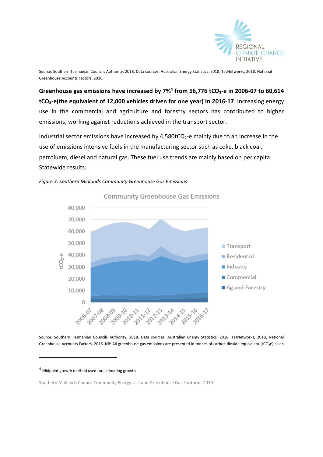

Source: Southern Tasmanian Councils Authority, 2018. Data sources: Australian Energy Statistics, 2018, TasNetworks, 2018, National Greenhouse Accounts Factors, 2016.

**Greenhouse gas emissions have increased by 7%<sup>4</sup> from 56,776 tCO₂-e in 2006-07 to 60,614 tCO₂-e(the equivalent of 12,000 vehicles driven for one year) in 2016-17**. Increasing energy use in the commercial and agriculture and forestry sectors has contributed to higher emissions, working against reductions achieved in the transport sector.

Industrial sector emissions have increased by 4,580tCO<sub>2</sub>-e mainly due to an increase in the use of emissions intensive fuels in the manufacturing sector such as coke, black coal, petroluem, diesel and natural gas. These fuel use trends are mainly based on per capita Statewide results.





Source: Southern Tasmanian Councils Authority, 2018. Data sources: Australian Energy Statistics, 2018, TasNetworks, 2018, National Greenhouse Accounts Factors, 2016. NB: All greenhouse gas emissions are presented in tonnes of carbon dioxide equivalent (tCO<sub>2</sub>e) as an

<sup>4</sup> Midpoint growth method used for estimating growth

Southern Midlands Council Community Energy Use and Greenhouse Gas Footprint 2019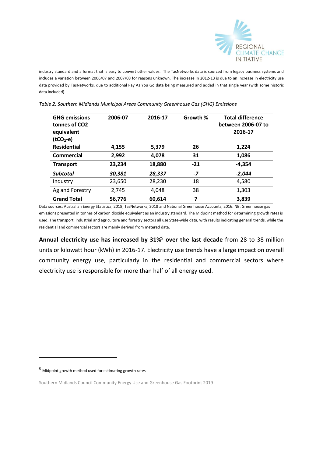

industry standard and a format that is easy to convert other values.The TasNetworks data is sourced from legacy business systems and includes a variation between 2006/07 and 2007/08 for reasons unknown. The increase in 2012-13 is due to an increase in electricity use data provided by TasNetworks, due to additional Pay As You Go data being measured and added in that single year (with some historic data included).

| <b>GHG emissions</b><br>tonnes of CO2<br>equivalent<br>$(tCO2-e)$ | 2006-07 | 2016-17 | Growth % | <b>Total difference</b><br>between 2006-07 to<br>2016-17 |
|-------------------------------------------------------------------|---------|---------|----------|----------------------------------------------------------|
| <b>Residential</b>                                                | 4,155   | 5,379   | 26       | 1,224                                                    |
| Commercial                                                        | 2,992   | 4,078   | 31       | 1,086                                                    |
| <b>Transport</b>                                                  | 23,234  | 18,880  | $-21$    | $-4,354$                                                 |
| <b>Subtotal</b>                                                   | 30.381  | 28,337  | $-7$     | $-2.044$                                                 |
| Industry                                                          | 23,650  | 28,230  | 18       | 4,580                                                    |
| Ag and Forestry                                                   | 2,745   | 4,048   | 38       | 1,303                                                    |
| <b>Grand Total</b>                                                | 56,776  | 60,614  | 7        | 3,839                                                    |

*Table 2: Southern Midlands Municipal Areas Community Greenhouse Gas (GHG) Emissions*

Data sources: Australian Energy Statistics, 2018, TasNetworks, 2018 and National Greenhouse Accounts, 2016. NB: Greenhouse gas emissions presented in tonnes of carbon dioxide equivalent as an industry standard. The Midpoint method for determining growth rates is used. The transport, industrial and agriculture and forestry sectors all use State-wide data, with results indicating general trends, while the residential and commercial sectors are mainly derived from metered data.

**Annual electricity use has increased by 31%<sup>5</sup> over the last decade** from 28 to 38 million units or kilowatt hour (kWh) in 2016-17. Electricity use trends have a large impact on overall community energy use, particularly in the residential and commercial sectors where electricity use is responsible for more than half of all energy used.

<sup>5</sup> Midpoint growth method used for estimating growth rates

-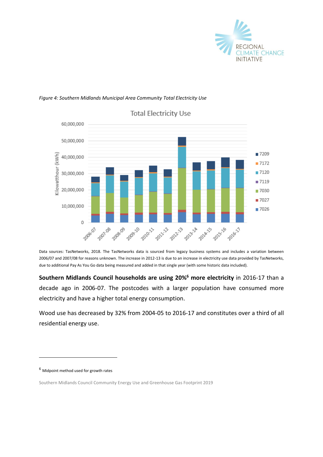

#### *Figure 4: Southern Midlands Municipal Area Community Total Electricity Use*



**Total Electricity Use** 

Data sources: TasNetworks, 2018. The TasNetworks data is sourced from legacy business systems and includes a variation between 2006/07 and 2007/08 for reasons unknown. The increase in 2012-13 is due to an increase in electricity use data provided by TasNetworks, due to additional Pay As You Go data being measured and added in that single year (with some historic data included).

**Southern Midlands Council households are using 20%<sup>6</sup> more electricity** in 2016-17 than a decade ago in 2006-07. The postcodes with a larger population have consumed more electricity and have a higher total energy consumption.

Wood use has decreased by 32% from 2004-05 to 2016-17 and constitutes over a third of all residential energy use.

<sup>6</sup> Midpoint method used for growth rates

Southern Midlands Council Community Energy Use and Greenhouse Gas Footprint 2019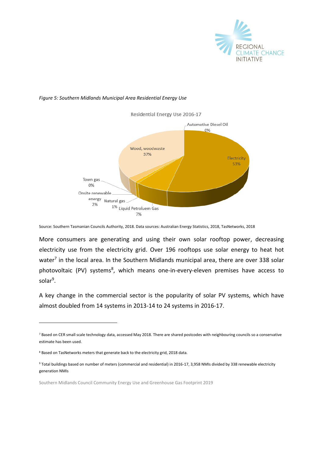

#### *Figure 5: Southern Midlands Municipal Area Residential Energy Use*

Residential Energy Use 2016-17



Source: Southern Tasmanian Councils Authority, 2018. Data sources: Australian Energy Statistics, 2018, TasNetworks, 2018

More consumers are generating and using their own solar rooftop power, decreasing electricity use from the electricity grid. Over 196 rooftops use solar energy to heat hot water<sup>7</sup> in the local area. In the Southern Midlands municipal area, there are over 338 solar photovoltaic (PV) systems<sup>8</sup>, which means one-in-every-eleven premises have access to solar<sup>9</sup>.

A key change in the commercial sector is the popularity of solar PV systems, which have almost doubled from 14 systems in 2013-14 to 24 systems in 2016-17.

<sup>7</sup> Based on CER small scale technology data, accessed May 2018. There are shared postcodes with neighbouring councils so a conservative estimate has been used.

<sup>8</sup> Based on TasNetworks meters that generate back to the electricity grid, 2018 data.

<sup>9</sup> Total buildings based on number of meters (commercial and residential) in 2016-17, 3,958 NMIs divided by 338 renewable electricity generation NMIs

Southern Midlands Council Community Energy Use and Greenhouse Gas Footprint 2019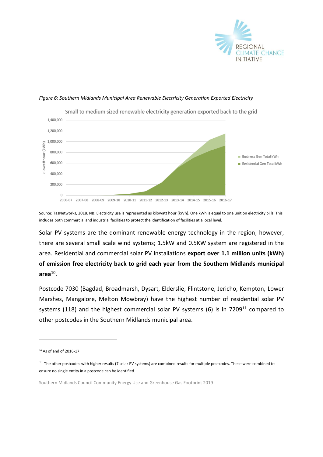

#### *Figure 6: Southern Midlands Municipal Area Renewable Electricity Generation Exported Electricity*



Source: TasNetworks, 2018. NB: Electricity use is represented as kilowatt hour (kWh). One kWh is equal to one unit on electricity bills. This includes both commercial and industrial facilities to protect the identification of facilities at a local level.

Solar PV systems are the dominant renewable energy technology in the region, however, there are several small scale wind systems; 1.5kW and 0.5KW system are registered in the area. Residential and commercial solar PV installations **export over 1.1 million units (kWh) of emission free electricity back to grid each year from the Southern Midlands municipal area**<sup>10</sup> .

Postcode 7030 (Bagdad, Broadmarsh, Dysart, Elderslie, Flintstone, Jericho, Kempton, Lower Marshes, Mangalore, Melton Mowbray) have the highest number of residential solar PV systems (118) and the highest commercial solar PV systems (6) is in  $7209^{11}$  compared to other postcodes in the Southern Midlands municipal area.

<sup>10</sup> As of end of 2016-17

<sup>&</sup>lt;sup>11</sup> The other postcodes with higher results (7 solar PV systems) are combined results for multiple postcodes. These were combined to ensure no single entity in a postcode can be identified.

Southern Midlands Council Community Energy Use and Greenhouse Gas Footprint 2019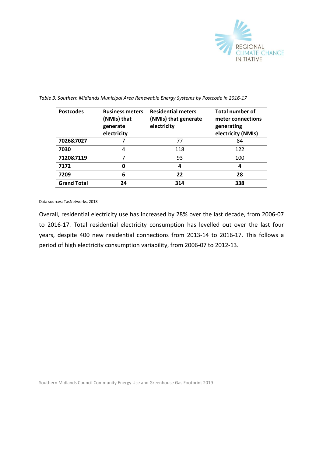

| <b>Postcodes</b>   | <b>Business meters</b><br>(NMIs) that<br>generate<br>electricity | <b>Residential meters</b><br>(NMIs) that generate<br>electricity | <b>Total number of</b><br>meter connections<br>generating<br>electricity (NMIs) |
|--------------------|------------------------------------------------------------------|------------------------------------------------------------------|---------------------------------------------------------------------------------|
| 7026&7027          |                                                                  | 77                                                               | 84                                                                              |
| 7030               | 4                                                                | 118                                                              | 122                                                                             |
| 7120&7119          | 7                                                                | 93                                                               | 100                                                                             |
| 7172               | 0                                                                | 4                                                                | 4                                                                               |
| 7209               | 6                                                                | 22                                                               | 28                                                                              |
| <b>Grand Total</b> | 24                                                               | 314                                                              | 338                                                                             |

*Table 3: Southern Midlands Municipal Area Renewable Energy Systems by Postcode in 2016-17*

Data sources: TasNetworks, 2018

Overall, residential electricity use has increased by 28% over the last decade, from 2006-07 to 2016-17. Total residential electricity consumption has levelled out over the last four years, despite 400 new residential connections from 2013-14 to 2016-17. This follows a period of high electricity consumption variability, from 2006-07 to 2012-13.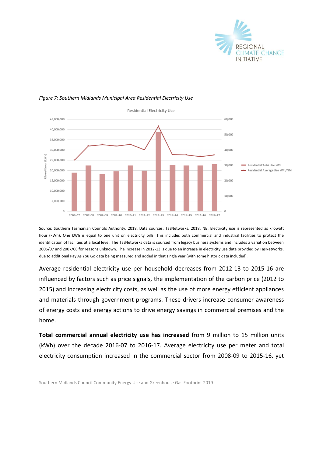



#### *Figure 7: Southern Midlands Municipal Area Residential Electricity Use*

Source: Southern Tasmanian Councils Authority, 2018. Data sources: TasNetworks, 2018. NB: Electricity use is represented as kilowatt hour (kWh). One kWh is equal to one unit on electricity bills. This includes both commercial and industrial facilities to protect the identification of facilities at a local level. The TasNetworks data is sourced from legacy business systems and includes a variation between 2006/07 and 2007/08 for reasons unknown. The increase in 2012-13 is due to an increase in electricity use data provided by TasNetworks, due to additional Pay As You Go data being measured and added in that single year (with some historic data included).

Average residential electricity use per household decreases from 2012-13 to 2015-16 are influenced by factors such as price signals, the implementation of the carbon price (2012 to 2015) and increasing electricity costs, as well as the use of more energy efficient appliances and materials through government programs. These drivers increase consumer awareness of energy costs and energy actions to drive energy savings in commercial premises and the home.

**Total commercial annual electricity use has increased** from 9 million to 15 million units (kWh) over the decade 2016-07 to 2016-17. Average electricity use per meter and total electricity consumption increased in the commercial sector from 2008-09 to 2015-16, yet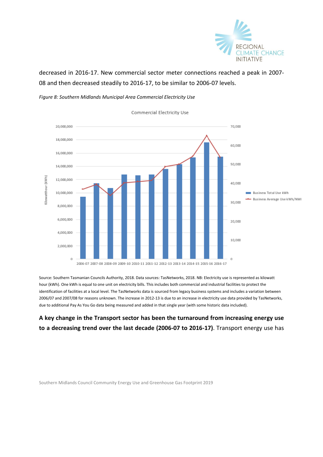

decreased in 2016-17. New commercial sector meter connections reached a peak in 2007- 08 and then decreased steadily to 2016-17, to be similar to 2006-07 levels.

*Figure 8: Southern Midlands Municipal Area Commercial Electricity Use*



Commercial Electricity Use

Source: Southern Tasmanian Councils Authority, 2018. Data sources: TasNetworks, 2018. NB: Electricity use is represented as kilowatt hour (kWh). One kWh is equal to one unit on electricity bills. This includes both commercial and industrial facilities to protect the identification of facilities at a local level. The TasNetworks data is sourced from legacy business systems and includes a variation between 2006/07 and 2007/08 for reasons unknown. The increase in 2012-13 is due to an increase in electricity use data provided by TasNetworks, due to additional Pay As You Go data being measured and added in that single year (with some historic data included).

### **A key change in the Transport sector has been the turnaround from increasing energy use to a decreasing trend over the last decade (2006-07 to 2016-17)**. Transport energy use has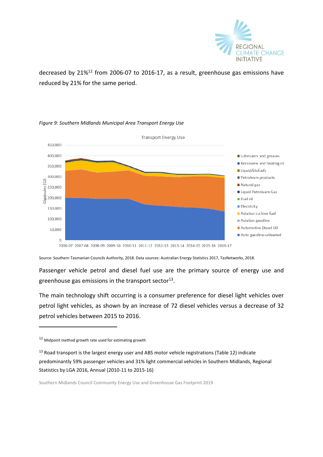

decreased by 21%<sup>12</sup> from 2006-07 to 2016-17, as a result, greenhouse gas emissions have reduced by 21% for the same period.



#### *Figure 9: Southern Midlands Municipal Area Transport Energy Use*

2006-07 2007-08 2008-09 2009-10 2010-11 2011-12 2012-13 2013-14 2014-15 2015-16 2016-17

Source: Southern Tasmanian Councils Authority, 2018. Data sources: Australian Energy Statistics 2017, TasNetworks, 2018.

Passenger vehicle petrol and diesel fuel use are the primary source of energy use and greenhouse gas emissions in the transport sector $^{13}$ .

The main technology shift occurring is a consumer preference for diesel light vehicles over petrol light vehicles, as shown by an increase of 72 diesel vehicles versus a decrease of 32 petrol vehicles between 2015 to 2016.

 $12$  Midpoint method growth rate used for estimating growth

<sup>&</sup>lt;sup>13</sup> Road transport is the largest energy user and ABS motor vehicle registrations (Table 12) indicate predominantly 59% passenger vehicles and 31% light commercial vehicles in Southern Midlands, Regional Statistics by LGA 2016, Annual (2010-11 to 2015-16)

Southern Midlands Council Community Energy Use and Greenhouse Gas Footprint 2019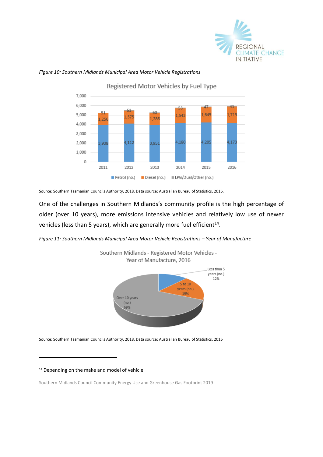



#### *Figure 10: Southern Midlands Municipal Area Motor Vehicle Registrations*

Source: Southern Tasmanian Councils Authority, 2018. Data source: Australian Bureau of Statistics, 2016.

One of the challenges in Southern Midlands's community profile is the high percentage of older (over 10 years), more emissions intensive vehicles and relatively low use of newer vehicles (less than 5 years), which are generally more fuel efficient $^{14}$ .

*Figure 11: Southern Midlands Municipal Area Motor Vehicle Registrations – Year of Manufacture*



Source: Southern Tasmanian Councils Authority, 2018. Data source: Australian Bureau of Statistics, 2016

<sup>14</sup> Depending on the make and model of vehicle.

-